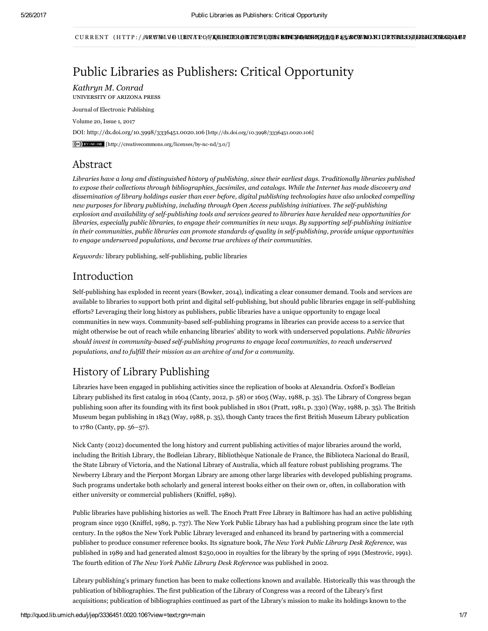CURRENT (HTTP://ARVYMLV@URINTAPO/F/QRHOLDINOERTIUMU/GENUMOROSHANGARES & ALANDE MOJNI URIVEHENS A HIDHUNDALIONA

# Public Libraries as Publishers: Critical Opportunity

*Kathryn M. Conrad* UNIVERSITY OF ARIZONA PRESS

Journal of Electronic Publishing

[Volume](http://quod.lib.umich.edu/j/jep/3336451.0020?rgn=main;view=fulltext) 20, [Issue](http://quod.lib.umich.edu/j/jep/3336451.0020.1*?rgn=main;view=fulltext) 1, 2017

DOI: <http://dx.doi.org/10.3998/3336451.0020.106> [http://dx.doi.org/10.3998/3336451.0020.106]

[cc] BY-NG-ND [http://creativecommons.org/licenses/by-nc-nd/3.0/]

### Abstract

Libraries have a long and distinguished history of publishing, since their earliest days. Traditionally libraries published to expose their collections through bibliographies, facsimiles, and catalogs. While the Internet has made discovery and dissemination of library holdings easier than ever before, digital publishing technologies have also unlocked compelling *new purposes for library publishing, including through Open Access publishing initiatives. The selfpublishing* explosion and availability of self-publishing tools and services geared to libraries have heralded new opportunities for libraries, especially public libraries, to engage their communities in new ways. By supporting self-publishing initiative *in their communities, public libraries can promote standards of quality in selfpublishing, provide unique opportunities to engage underserved populations, and become true archives of their communities.*

*Keywords:* library publishing, self-publishing, public libraries

## Introduction

Self-publishing has exploded in recent years (Bowker, 2014), indicating a clear consumer demand. Tools and services are available to libraries to support both print and digital self-publishing, but should public libraries engage in self-publishing efforts? Leveraging their long history as publishers, public libraries have a unique opportunity to engage local communities in new ways. Community-based self-publishing programs in libraries can provide access to a service that might otherwise be out of reach while enhancing libraries' ability to work with underserved populations. *Public libraries should invest in communitybased selfpublishing programs to engage local communities, to reach underserved populations, and to fulfill their mission as an archive of and for a community.*

# History of Library Publishing

Libraries have been engaged in publishing activities since the replication of books at Alexandria. Oxford's Bodleian Library published its first catalog in 1604 (Canty, 2012, p. 58) or 1605 (Way, 1988, p. 35). The Library of Congress began publishing soon after its founding with its first book published in 1801 (Pratt, 1981, p. 330) (Way, 1988, p. 35). The British Museum began publishing in 1843 (Way, 1988, p. 35), though Canty traces the first British Museum Library publication to 1780 (Canty, pp. 56–57).

Nick Canty (2012) documented the long history and current publishing activities of major libraries around the world, including the British Library, the Bodleian Library, Bibliothèque Nationale de France, the Biblioteca Nacional do Brasil, the State Library of Victoria, and the National Library of Australia, which all feature robust publishing programs. The Newberry Library and the Pierpont Morgan Library are among other large libraries with developed publishing programs. Such programs undertake both scholarly and general interest books either on their own or, often, in collaboration with either university or commercial publishers (Kniffel, 1989).

Public libraries have publishing histories as well. The Enoch Pratt Free Library in Baltimore has had an active publishing program since 1930 (Kniffel, 1989, p. 737). The New York Public Library has had a publishing program since the late 19th century. In the 1980s the New York Public Library leveraged and enhanced its brand by partnering with a commercial publisher to produce consumer reference books. Its signature book, *The New York Public Library Desk Reference,* was published in 1989 and had generated almost \$250,000 in royalties for the library by the spring of 1991 (Mestrovic, 1991). The fourth edition of *The New York Public Library Desk Reference* was published in 2002.

Library publishing's primary function has been to make collections known and available. Historically this was through the publication of bibliographies. The first publication of the Library of Congress was a record of the Library's first acquisitions; publication of bibliographies continued as part of the Library's mission to make its holdings known to the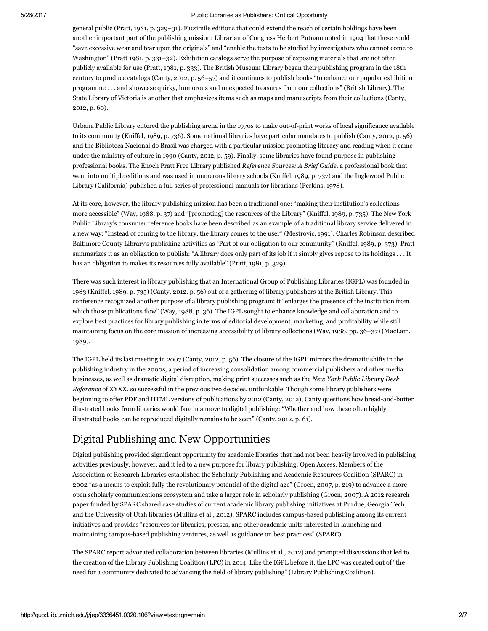general public (Pratt, 1981, p. 329–31). Facsimile editions that could extend the reach of certain holdings have been another important part of the publishing mission: Librarian of Congress Herbert Putnam noted in 1904 that these could "save excessive wear and tear upon the originals" and "enable the texts to be studied by investigators who cannot come to Washington" (Pratt 1981, p. 331–32). Exhibition catalogs serve the purpose of exposing materials that are not often publicly available for use (Pratt, 1981, p. 333). The British Museum Library began their publishing program in the 18th century to produce catalogs (Canty, 2012, p. 56–57) and it continues to publish books "to enhance our popular exhibition programme . . . and showcase quirky, humorous and unexpected treasures from our collections" (British Library). The State Library of Victoria is another that emphasizes items such as maps and manuscripts from their collections (Canty, 2012, p. 60).

Urbana Public Library entered the publishing arena in the 1970s to make out-of-print works of local significance available to its community (Kniffel, 1989, p. 736). Some national libraries have particular mandates to publish (Canty, 2012, p. 56) and the Biblioteca Nacional do Brasil was charged with a particular mission promoting literacy and reading when it came under the ministry of culture in 1990 (Canty, 2012, p. 59). Finally, some libraries have found purpose in publishing professional books. The Enoch Pratt Free Library published *Reference Sources: A Brief Guide,* a professional book that went into multiple editions and was used in numerous library schools (Kniffel, 1989, p. 737) and the Inglewood Public Library (California) published a full series of professional manuals for librarians (Perkins, 1978).

At its core, however, the library publishing mission has been a traditional one: "making their institution's collections more accessible" (Way, 1988, p. 37) and "[promoting] the resources of the Library" (Kniffel, 1989, p. 735). The New York Public Library's consumer reference books have been described as an example of a traditional library service delivered in a new way: "Instead of coming to the library, the library comes to the user" (Mestrovic, 1991). Charles Robinson described Baltimore County Library's publishing activities as "Part of our obligation to our community" (Kniffel, 1989, p. 373). Pratt summarizes it as an obligation to publish: "A library does only part of its job if it simply gives repose to its holdings . . . It has an obligation to makes its resources fully available" (Pratt, 1981, p. 329).

There was such interest in library publishing that an International Group of Publishing Libraries (IGPL) was founded in 1983 (Kniffel, 1989, p. 735) (Canty, 2012, p. 56) out of a gathering of library publishers at the British Library. This conference recognized another purpose of a library publishing program: it "enlarges the presence of the institution from which those publications flow" (Way, 1988, p. 36). The IGPL sought to enhance knowledge and collaboration and to explore best practices for library publishing in terms of editorial development, marketing, and profitability while still maintaining focus on the core mission of increasing accessibility of library collections (Way, 1988, pp. 36–37) (MacLam, 1989).

The IGPL held its last meeting in 2007 (Canty, 2012, p. 56). The closure of the IGPL mirrors the dramatic shifts in the publishing industry in the 2000s, a period of increasing consolidation among commercial publishers and other media businesses, as well as dramatic digital disruption, making print successes such as the *New York Public Library Desk Reference* of XYXX, so successful in the previous two decades, unthinkable. Though some library publishers were beginning to offer PDF and HTML versions of publications by 2012 (Canty, 2012), Canty questions how bread-and-butter illustrated books from libraries would fare in a move to digital publishing: "Whether and how these often highly illustrated books can be reproduced digitally remains to be seen" (Canty, 2012, p. 61).

## Digital Publishing and New Opportunities

Digital publishing provided significant opportunity for academic libraries that had not been heavily involved in publishing activities previously, however, and it led to a new purpose for library publishing: Open Access. Members of the Association of Research Libraries established the Scholarly Publishing and Academic Resources Coalition (SPARC) in 2002 "as a means to exploit fully the revolutionary potential of the digital age" (Groen, 2007, p. 219) to advance a more open scholarly communications ecosystem and take a larger role in scholarly publishing (Groen, 2007). A 2012 research paper funded by SPARC shared case studies of current academic library publishing initiatives at Purdue, Georgia Tech, and the University of Utah libraries (Mullins et al., 2012). SPARC includes campus-based publishing among its current initiatives and provides "resources for libraries, presses, and other academic units interested in launching and maintaining campus-based publishing ventures, as well as guidance on best practices" (SPARC).

The SPARC report advocated collaboration between libraries (Mullins et al., 2012) and prompted discussions that led to the creation of the Library Publishing Coalition (LPC) in 2014. Like the IGPL before it, the LPC was created out of "the need for a community dedicated to advancing the field of library publishing" (Library Publishing Coalition).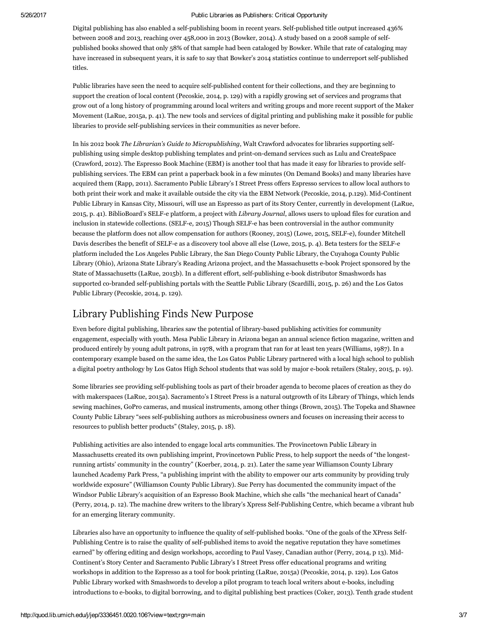Digital publishing has also enabled a self-publishing boom in recent years. Self-published title output increased 436% between 2008 and 2013, reaching over 458,000 in 2013 (Bowker, 2014). A study based on a 2008 sample of selfpublished books showed that only 58% of that sample had been cataloged by Bowker. While that rate of cataloging may have increased in subsequent years, it is safe to say that Bowker's 2014 statistics continue to underreport self-published titles.

Public libraries have seen the need to acquire self-published content for their collections, and they are beginning to support the creation of local content (Pecoskie, 2014, p. 129) with a rapidly growing set of services and programs that grow out of a long history of programming around local writers and writing groups and more recent support of the Maker Movement (LaRue, 2015a, p. 41). The new tools and services of digital printing and publishing make it possible for public libraries to provide self-publishing services in their communities as never before.

In his 2012 book *The Librarian's Guide to Micropublishing*, Walt Crawford advocates for libraries supporting selfpublishing using simple desktop publishing templates and print-on-demand services such as Lulu and CreateSpace (Crawford, 2012). The Espresso Book Machine (EBM) is another tool that has made it easy for libraries to provide selfpublishing services. The EBM can print a paperback book in a few minutes (On Demand Books) and many libraries have acquired them (Rapp, 2011). Sacramento Public Library's I Street Press offers Espresso services to allow local authors to both print their work and make it available outside the city via the EBM Network (Pecoskie, 2014, p.129). Mid-Continent Public Library in Kansas City, Missouri, will use an Espresso as part of its Story Center, currently in development (LaRue, 2015, p. 41). BiblioBoard's SELFe platform, a project with *Library Journal*, allows users to upload files for curation and inclusion in statewide collections. (SELF-e, 2015) Though SELF-e has been controversial in the author community because the platform does not allow compensation for authors (Rooney, 2015) (Lowe, 2015, SELFe), founder Mitchell Davis describes the benefit of SELF-e as a discovery tool above all else (Lowe, 2015, p. 4). Beta testers for the SELF-e platform included the Los Angeles Public Library, the San Diego County Public Library, the Cuyahoga County Public Library (Ohio), Arizona State Library's Reading Arizona project, and the Massachusetts e-book Project sponsored by the State of Massachusetts (LaRue, 2015b). In a different effort, self-publishing e-book distributor Smashwords has supported co-branded self-publishing portals with the Seattle Public Library (Scardilli, 2015, p. 26) and the Los Gatos Public Library (Pecoskie, 2014, p. 129).

### Library Publishing Finds New Purpose

Even before digital publishing, libraries saw the potential of library-based publishing activities for community engagement, especially with youth. Mesa Public Library in Arizona began an annual science fiction magazine, written and produced entirely by young adult patrons, in 1978, with a program that ran for at least ten years (Williams, 1987). In a contemporary example based on the same idea, the Los Gatos Public Library partnered with a local high school to publish a digital poetry anthology by Los Gatos High School students that was sold by major e-book retailers (Staley, 2015, p. 19).

Some libraries see providing self-publishing tools as part of their broader agenda to become places of creation as they do with makerspaces (LaRue, 2015a). Sacramento's I Street Press is a natural outgrowth of its Library of Things, which lends sewing machines, GoPro cameras, and musical instruments, among other things (Brown, 2015). The Topeka and Shawnee County Public Library "sees self-publishing authors as microbusiness owners and focuses on increasing their access to resources to publish better products" (Staley, 2015, p. 18).

Publishing activities are also intended to engage local arts communities. The Provincetown Public Library in Massachusetts created its own publishing imprint, Provincetown Public Press, to help support the needs of "the longestrunning artists' community in the country" (Koerber, 2014, p. 21). Later the same year Williamson County Library launched Academy Park Press, "a publishing imprint with the ability to empower our arts community by providing truly worldwide exposure" (Williamson County Public Library). Sue Perry has documented the community impact of the Windsor Public Library's acquisition of an Espresso Book Machine, which she calls "the mechanical heart of Canada" (Perry, 2014, p. 12). The machine drew writers to the library's Xpress Self-Publishing Centre, which became a vibrant hub for an emerging literary community.

Libraries also have an opportunity to influence the quality of self-published books. "One of the goals of the XPress Self-Publishing Centre is to raise the quality of self-published items to avoid the negative reputation they have sometimes earned" by offering editing and design workshops, according to Paul Vasey, Canadian author (Perry, 2014, p 13). Mid-Continent's Story Center and Sacramento Public Library's I Street Press offer educational programs and writing workshops in addition to the Espresso as a tool for book printing (LaRue, 2015a) (Pecoskie, 2014, p. 129). Los Gatos Public Library worked with Smashwords to develop a pilot program to teach local writers about e-books, including introductions to ebooks, to digital borrowing, and to digital publishing best practices (Coker, 2013). Tenth grade student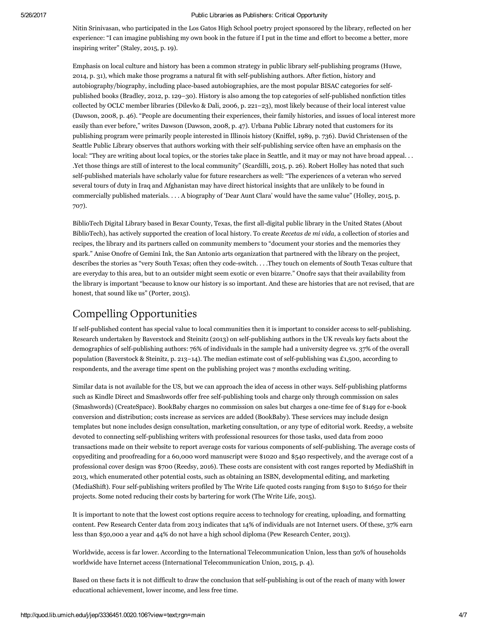Nitin Srinivasan, who participated in the Los Gatos High School poetry project sponsored by the library, reflected on her experience: "I can imagine publishing my own book in the future if I put in the time and effort to become a better, more inspiring writer" (Staley, 2015, p. 19).

Emphasis on local culture and history has been a common strategy in public library self-publishing programs (Huwe, 2014, p. 31), which make those programs a natural fit with self-publishing authors. After fiction, history and autobiography/biography, including place-based autobiographies, are the most popular BISAC categories for selfpublished books (Bradley, 2012, p. 129–30). History is also among the top categories of self-published nonfiction titles collected by OCLC member libraries (Dilevko & Dali, 2006, p. 221–23), most likely because of their local interest value (Dawson, 2008, p. 46). "People are documenting their experiences, their family histories, and issues of local interest more easily than ever before," writes Dawson (Dawson, 2008, p. 47). Urbana Public Library noted that customers for its publishing program were primarily people interested in Illinois history (Kniffel, 1989, p. 736). David Christensen of the Seattle Public Library observes that authors working with their self-publishing service often have an emphasis on the local: "They are writing about local topics, or the stories take place in Seattle, and it may or may not have broad appeal. . . .Yet those things are still of interest to the local community" (Scardilli, 2015, p. 26). Robert Holley has noted that such self-published materials have scholarly value for future researchers as well: "The experiences of a veteran who served several tours of duty in Iraq and Afghanistan may have direct historical insights that are unlikely to be found in commercially published materials. . . . A biography of 'Dear Aunt Clara' would have the same value" (Holley, 2015, p. 707).

BiblioTech Digital Library based in Bexar County, Texas, the first all-digital public library in the United States (About BiblioTech), has actively supported the creation of local history. To create *Recetas de mi vida,* a collection of stories and recipes, the library and its partners called on community members to "document your stories and the memories they spark." Anise Onofre of Gemini Ink, the San Antonio arts organization that partnered with the library on the project, describes the stories as "very South Texas; often they codeswitch. . . .They touch on elements of South Texas culture that are everyday to this area, but to an outsider might seem exotic or even bizarre." Onofre says that their availability from the library is important "because to know our history is so important. And these are histories that are not revised, that are honest, that sound like us" (Porter, 2015).

## Compelling Opportunitie

If self-published content has special value to local communities then it is important to consider access to self-publishing. Research undertaken by Baverstock and Steinitz (2013) on self-publishing authors in the UK reveals key facts about the demographics of self-publishing authors: 76% of individuals in the sample had a university degree vs. 37% of the overall population (Baverstock & Steinitz, p. 213–14). The median estimate cost of self-publishing was £1,500, according to respondents, and the average time spent on the publishing project was 7 months excluding writing.

Similar data is not available for the US, but we can approach the idea of access in other ways. Self-publishing platforms such as Kindle Direct and Smashwords offer free self-publishing tools and charge only through commission on sales (Smashwords) (CreateSpace). BookBaby charges no commission on sales but charges a one-time fee of \$149 for e-book conversion and distribution; costs increase as services are added (BookBaby). These services may include design templates but none includes design consultation, marketing consultation, or any type of editorial work. Reedsy, a website devoted to connecting self-publishing writers with professional resources for those tasks, used data from 2000 transactions made on their website to report average costs for various components of self-publishing. The average costs of copyediting and proofreading for a 60,000 word manuscript were \$1020 and \$540 respectively, and the average cost of a professional cover design was \$700 (Reedsy, 2016). These costs are consistent with cost ranges reported by MediaShift in 2013, which enumerated other potential costs, such as obtaining an ISBN, developmental editing, and marketing (MediaShift). Four self-publishing writers profiled by The Write Life quoted costs ranging from \$150 to \$1650 for their projects. Some noted reducing their costs by bartering for work (The Write Life, 2015).

It is important to note that the lowest cost options require access to technology for creating, uploading, and formatting content. Pew Research Center data from 2013 indicates that 14% of individuals are not Internet users. Of these, 37% earn less than \$50,000 a year and 44% do not have a high school diploma (Pew Research Center, 2013).

Worldwide, access is far lower. According to the International Telecommunication Union, less than 50% of households worldwide have Internet access (International Telecommunication Union, 2015, p. 4).

Based on these facts it is not difficult to draw the conclusion that self-publishing is out of the reach of many with lower educational achievement, lower income, and less free time.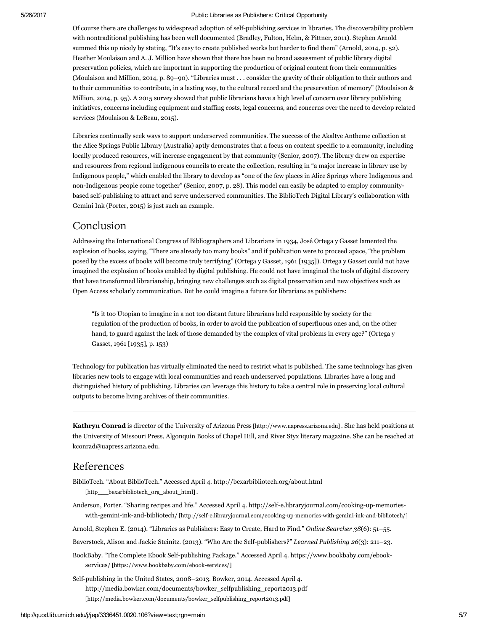Of course there are challenges to widespread adoption of self-publishing services in libraries. The discoverability problem with nontraditional publishing has been well documented (Bradley, Fulton, Helm, & Pittner, 2011). Stephen Arnold summed this up nicely by stating, "It's easy to create published works but harder to find them" (Arnold, 2014, p. 52). Heather Moulaison and A. J. Million have shown that there has been no broad assessment of public library digital preservation policies, which are important in supporting the production of original content from their communities (Moulaison and Million, 2014, p. 89–90). "Libraries must . . . consider the gravity of their obligation to their authors and to their communities to contribute, in a lasting way, to the cultural record and the preservation of memory" (Moulaison & Million, 2014, p. 95). A 2015 survey showed that public librarians have a high level of concern over library publishing initiatives, concerns including equipment and staffing costs, legal concerns, and concerns over the need to develop related services (Moulaison & LeBeau, 2015).

Libraries continually seek ways to support underserved communities. The success of the Akaltye Antheme collection at the Alice Springs Public Library (Australia) aptly demonstrates that a focus on content specific to a community, including locally produced resources, will increase engagement by that community (Senior, 2007). The library drew on expertise and resources from regional indigenous councils to create the collection, resulting in "a major increase in library use by Indigenous people," which enabled the library to develop as "one of the few places in Alice Springs where Indigenous and non-Indigenous people come together" (Senior, 2007, p. 28). This model can easily be adapted to employ communitybased self-publishing to attract and serve underserved communities. The BiblioTech Digital Library's collaboration with Gemini Ink (Porter, 2015) is just such an example.

## Conclusion

Addressing the International Congress of Bibliographers and Librarians in 1934, José Ortega y Gasset lamented the explosion of books, saying, "There are already too many books" and if publication were to proceed apace, "the problem posed by the excess of books will become truly terrifying" (Ortega y Gasset, 1961 [1935]). Ortega y Gasset could not have imagined the explosion of books enabled by digital publishing. He could not have imagined the tools of digital discovery that have transformed librarianship, bringing new challenges such as digital preservation and new objectives such as Open Access scholarly communication. But he could imagine a future for librarians as publishers:

"Is it too Utopian to imagine in a not too distant future librarians held responsible by society for the regulation of the production of books, in order to avoid the publication of superfluous ones and, on the other hand, to guard against the lack of those demanded by the complex of vital problems in every age?" (Ortega y Gasset, 1961 [1935], p. 153)

Technology for publication has virtually eliminated the need to restrict what is published. The same technology has given libraries new tools to engage with local communities and reach underserved populations. Libraries have a long and distinguished history of publishing. Libraries can leverage this history to take a central role in preserving local cultural outputs to become living archives of their communities.

Kathryn Conrad is director of the University of Arizona Press [\[http://www.uapress.arizona.edu\]](http://www.uapress.arizona.edu/). She has held positions at the University of Missouri Press, Algonquin Books of Chapel Hill, and River Styx literary magazine. She can be reached at kconrad@uapress.arizona.edu.

### **References**

- BiblioTech. "About BiblioTech." Accessed April 4. [http://bexarbibliotech.org/about.html](http://quod.lib.umich.edu/j/jep/http___bexarbibliotech_org_about_html) [http\_\_\_bexarbibliotech\_org\_about\_html].
- Anderson, Porter. "Sharing recipes and life." Accessed April 4. http://self-e.libraryjournal.com/cooking-up-memorieswith-gemini-ink-and-bibliotech/ [http://self-e.libraryjournal.com/cooking-up-memories-with-gemini-ink-and-bibliotech/]
- Arnold, Stephen E. (2014). "Libraries as Publishers: Easy to Create, Hard to Find." *Online Searcher 38*(6): 51–55.

Baverstock, Alison and Jackie Steinitz. (2013). "Who Are the Self-publishers?" *Learned Publishing* 26(3): 211–23.

- BookBaby. "The Complete Ebook Self-publishing Package." Accessed April 4. https://www.bookbaby.com/ebookservices/ [https://www.bookbaby.com/ebook-services/]
- Self-publishing in the United States, 2008–2013. Bowker, 2014. Accessed April 4. [http://media.bowker.com/documents/bowker\\_selfpublishing\\_report2013.pdf](http://media.bowker.com/documents/bowker_selfpublishing_report2013.pdf) [http://media.bowker.com/documents/bowker\_selfpublishing\_report2013.pdf]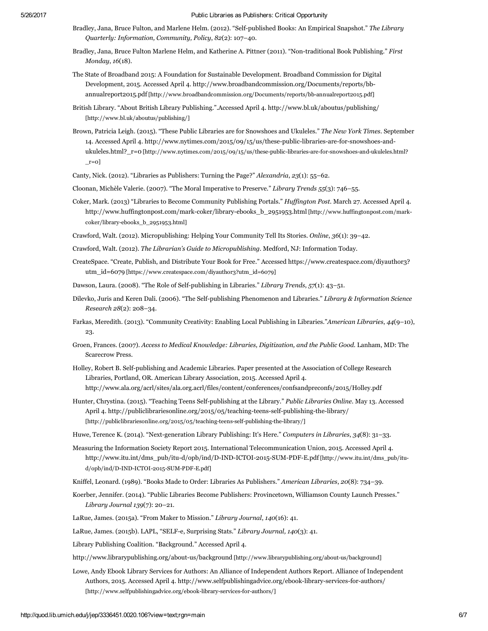- Bradley, Jana, Bruce Fulton, and Marlene Helm. (2012). "Self-published Books: An Empirical Snapshot." The Library *Quarterly: Information, Community, Policy*, *82*(2): 107–40.
- Bradley, Jana, Bruce Fulton Marlene Helm, and Katherine A. Pittner (2011). "Nontraditional Book Publishing." *First Monday*, *16*(18).
- The State of Broadband 2015: A Foundation for Sustainable Development. Broadband Commission for Digital Development, 2015. Accessed April 4. http://www.broadbandcommission.org/Documents/reports/bbannualreport2015.pdf [\[http://www.broadbandcommission.org/Documents/reports/bbannualreport2015.pdf\]](http://www.broadbandcommission.org/Documents/reports/bb-annualreport2015.pdf)
- British Library. "About British Library Publishing.".Accessed April 4. <http://www.bl.uk/aboutus/publishing/> [http://www.bl.uk/aboutus/publishing/]
- Brown, Patricia Leigh. (2015). "These Public Libraries are for Snowshoes and Ukuleles." *The New York Times.* September 14. Accessed April 4. http://www.nytimes.com/2015/09/15/us/these-public-libraries-are-for-snowshoes-andukuleles.html?\_r=0 [http://www.nytimes.com/2015/09/15/us/these-public-libraries-are-for-snowshoes-and-ukuleles.html?  $r=0$
- Canty, Nick. (2012). "Libraries as Publishers: Turning the Page?" *Alexandria*, *23*(1): 55–62.
- Cloonan, Michèle Valerie. (2007). "The Moral Imperative to Preserve." *Library Trends 55*(3): 746–55.
- Coker, Mark. (2013) "Libraries to Become Community Publishing Portals." *Huf ington Post.* March 27. Accessed April 4. http://www.huffingtonpost.com/mark-coker/library-ebooks\_b\_2951953.html [http://www.huffingtonpost.com/markcoker/libraryebooks\_b\_2951953.html]
- Crawford, Walt. (2012). Micropublishing: Helping Your Community Tell Its Stories. *Online*, *36*(1): 39–42.
- Crawford, Walt. (2012). *The Librarian's Guide to Micropublishing.* Medford, NJ: Information Today.
- CreateSpace. "Create, Publish, and Distribute Your Book for Free." Accessed https://www.createspace.com/diyauthor3? utm\_id=6079 [\[https://www.createspace.com/diyauthor3?utm\\_id=6079\]](https://www.createspace.com/diyauthor3?utm_id=6079)
- Dawson, Laura. (2008). "The Role of Self-publishing in Libraries." *Library Trends*, 57(1): 43–51.
- Dilevko, Juris and Keren Dali. (2006). "The Selfpublishing Phenomenon and Libraries." *Library & Information Science Research 28*(2): 208–34.
- Farkas, Meredith. (2013). "Community Creativity: Enabling Local Publishing in Libraries."*American Libraries*, *44*(9–10), 23.
- Groen, Frances. (2007). *Access to Medical Knowledge: Libraries, Digitization, and the Public Good.* Lanham, MD: The Scarecrow Press.
- Holley, Robert B. Self-publishing and Academic Libraries. Paper presented at the Association of College Research Libraries, Portland, OR. American Library Association, 2015. Accessed April 4. http://www.ala.org/acrl/sites/ala.org.acrl/files/content/conferences/confsandpreconfs/2015/Holley.pdf
- Hunter, Chrystina. (2015). "Teaching Teens Self-publishing at the Library." *Public Libraries Online*. May 13. Accessed April 4. http://publiclibrariesonline.org/2015/05/teaching-teens-self-publishing-the-library/ [http://publiclibrariesonline.org/2015/05/teaching-teens-self-publishing-the-library/]

Huwe, Terence K. (2014). "Next-generation Library Publishing: It's Here." Computers in Libraries, 34(8): 31–33.

- Measuring the Information Society Report 2015. International Telecommunication Union, 2015. Accessed April 4. http://www.itu.int/dms\_pub/itu-d/opb/ind/D-IND-ICTOI-2015-SUM-PDF-E.pdf [http://www.itu.int/dms\_pub/itud/opb/ind/D-IND-ICTOI-2015-SUM-PDF-E.pdf]
- Kniffel, Leonard. (1989). "Books Made to Order: Libraries As Publishers." *American Libraries*, *20*(8): 734–39.
- Koerber, Jennifer. (2014). "Public Libraries Become Publishers: Provincetown, Williamson County Launch Presses." *Library Journal 139*(7): 20–21.

LaRue, James. (2015a). "From Maker to Mission." *Library Journal*, *140*(16): 41.

LaRue, James. (2015b). LAPL, "SELFe, Surprising Stats." *Library Journal, 140*(3): 41.

Library Publishing Coalition. "Background." Accessed April 4.

- http://www.librarypublishing.org/about-us/background [http://www.librarypublishing.org/about-us/background]
- Lowe, Andy Ebook Library Services for Authors: An Alliance of Independent Authors Report. Alliance of Independent Authors, 2015. Accessed April 4. http://www.selfpublishingadvice.org/ebook-library-services-for-authors/ [http://www.selfpublishingadvice.org/ebook-library-services-for-authors/]